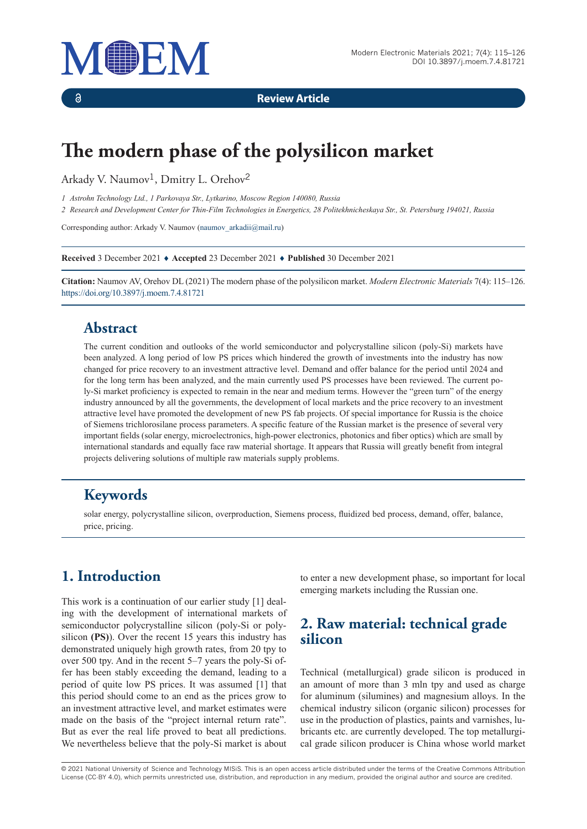

 $\delta$ 

**Review Article**

# **The modern phase of the polysilicon market**

Arkady V. Naumov<sup>1</sup>, Dmitry L. Orehov<sup>2</sup>

*1 Astrohn Technology Ltd., 1 Parkovaya Str., Lytkarino, Moscow Region 140080, Russia*

*2 Research and Development Center for Thin-Film Technologies in Energetics, 28 Politekhnicheskaya Str., St. Petersburg 194021, Russia*

Corresponding author: Arkady V. Naumov (naumov\_arkadii@mail.ru)

**Received** 3 December 2021 ♦ **Accepted** 23 December 2021 ♦ **Published** 30 December 2021

**Citation:** Naumov AV, Orehov DL (2021) The modern phase of the polysilicon market. *Modern Electronic Materials* 7(4): 115–126. https://doi.org/10.3897/j.moem.7.4.81721

# **Abstract**

The current condition and outlooks of the world semiconductor and polycrystalline silicon (poly-Si) markets have been analyzed. A long period of low PS prices which hindered the growth of investments into the industry has now changed for price recovery to an investment attractive level. Demand and offer balance for the period until 2024 and for the long term has been analyzed, and the main currently used PS processes have been reviewed. The current poly-Si market proficiency is expected to remain in the near and medium terms. However the "green turn" of the energy industry announced by all the governments, the development of local markets and the price recovery to an investment attractive level have promoted the development of new PS fab projects. Of special importance for Russia is the choice of Siemens trichlorosilane process parameters. A specific feature of the Russian market is the presence of several very important fields (solar energy, microelectronics, high-power electronics, photonics and fiber optics) which are small by international standards and equally face raw material shortage. It appears that Russia will greatly benefit from integral projects delivering solutions of multiple raw materials supply problems.

### **Keywords**

solar energy, polycrystalline silicon, overproduction, Siemens process, fluidized bed process, demand, offer, balance, price, pricing.

# **1. Introduction**

This work is a continuation of our earlier study [1] dealing with the development of international markets of semiconductor polycrystalline silicon (poly-Si or polysilicon **(PS)**). Over the recent 15 years this industry has demonstrated uniquely high growth rates, from 20 tpy to over 500 tpy. And in the recent 5–7 years the poly-Si offer has been stably exceeding the demand, leading to a period of quite low PS prices. It was assumed [1] that this period should come to an end as the prices grow to an investment attractive level, and market estimates were made on the basis of the "project internal return rate". But as ever the real life proved to beat all predictions. We nevertheless believe that the poly-Si market is about to enter a new development phase, so important for local emerging markets including the Russian one.

# **2. Raw material: technical grade silicon**

Technical (metallurgical) grade silicon is produced in an amount of more than 3 mln tpy and used as charge for aluminum (silumines) and magnesium alloys. In the chemical industry silicon (organic silicon) processes for use in the production of plastics, paints and varnishes, lubricants etc. are currently developed. The top metallurgical grade silicon producer is China whose world market

© 2021 National University of Science and Technology MISiS*.* This is an open access article distributed under the terms of the Creative Commons Attribution License (CC-BY 4.0), which permits unrestricted use, distribution, and reproduction in any medium, provided the original author and source are credited.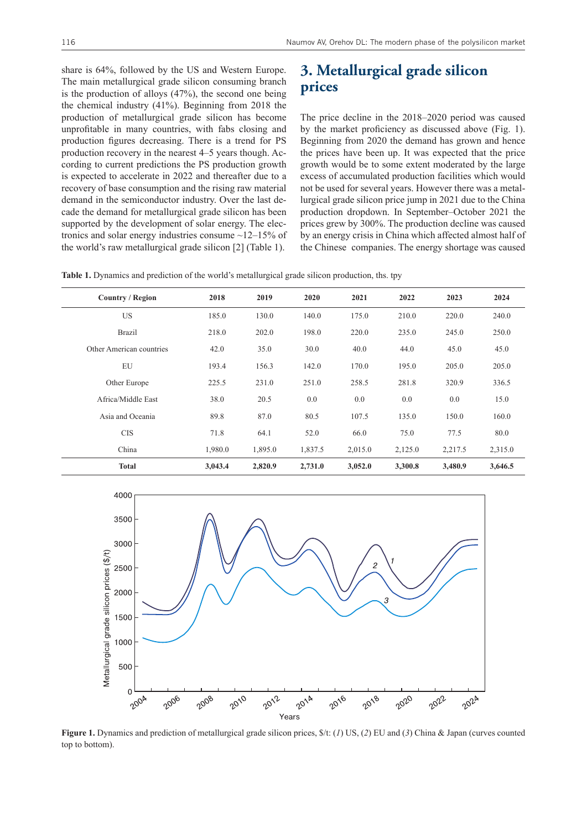share is 64%, followed by the US and Western Europe. The main metallurgical grade silicon consuming branch is the production of alloys (47%), the second one being the chemical industry (41%). Beginning from 2018 the production of metallurgical grade silicon has become unprofitable in many countries, with fabs closing and production figures decreasing. There is a trend for PS production recovery in the nearest 4–5 years though. According to current predictions the PS production growth is expected to accelerate in 2022 and thereafter due to a recovery of base consumption and the rising raw material demand in the semiconductor industry. Over the last decade the demand for metallurgical grade silicon has been supported by the development of solar energy. The electronics and solar energy industries consume  $\sim$ 12–15% of the world's raw metallurgical grade silicon [2] (Table 1).

### **3. Metallurgical grade silicon prices**

The price decline in the 2018–2020 period was caused by the market proficiency as discussed above (Fig. 1). Beginning from 2020 the demand has grown and hence the prices have been up. It was expected that the price growth would be to some extent moderated by the large excess of accumulated production facilities which would not be used for several years. However there was a metallurgical grade silicon price jump in 2021 due to the China production dropdown. In September–October 2021 the prices grew by 300%. The production decline was caused by an energy crisis in China which affected almost half of the Chinese companies. The energy shortage was caused

**Table 1.** Dynamics and prediction of the world's metallurgical grade silicon production, ths. tpy

| <b>Country / Region</b>  | 2018    | 2019    | 2020    | 2021    | 2022    | 2023    | 2024    |
|--------------------------|---------|---------|---------|---------|---------|---------|---------|
| <b>US</b>                | 185.0   | 130.0   | 140.0   | 175.0   | 210.0   | 220.0   | 240.0   |
| <b>Brazil</b>            | 218.0   | 202.0   | 198.0   | 220.0   | 235.0   | 245.0   | 250.0   |
| Other American countries | 42.0    | 35.0    | 30.0    | 40.0    | 44.0    | 45.0    | 45.0    |
| EU                       | 193.4   | 156.3   | 142.0   | 170.0   | 195.0   | 205.0   | 205.0   |
| Other Europe             | 225.5   | 231.0   | 251.0   | 258.5   | 281.8   | 320.9   | 336.5   |
| Africa/Middle East       | 38.0    | 20.5    | 0.0     | 0.0     | 0.0     | 0.0     | 15.0    |
| Asia and Oceania         | 89.8    | 87.0    | 80.5    | 107.5   | 135.0   | 150.0   | 160.0   |
| <b>CIS</b>               | 71.8    | 64.1    | 52.0    | 66.0    | 75.0    | 77.5    | 80.0    |
| China                    | 1,980.0 | 1,895.0 | 1,837.5 | 2,015.0 | 2,125.0 | 2,217.5 | 2,315.0 |
| <b>Total</b>             | 3,043.4 | 2,820.9 | 2,731.0 | 3,052.0 | 3,300.8 | 3,480.9 | 3,646.5 |



**Figure 1.** Dynamics and prediction of metallurgical grade silicon prices, \$/t: (*1*) US, (*2*) EU and (*3*) China & Japan (curves counted top to bottom).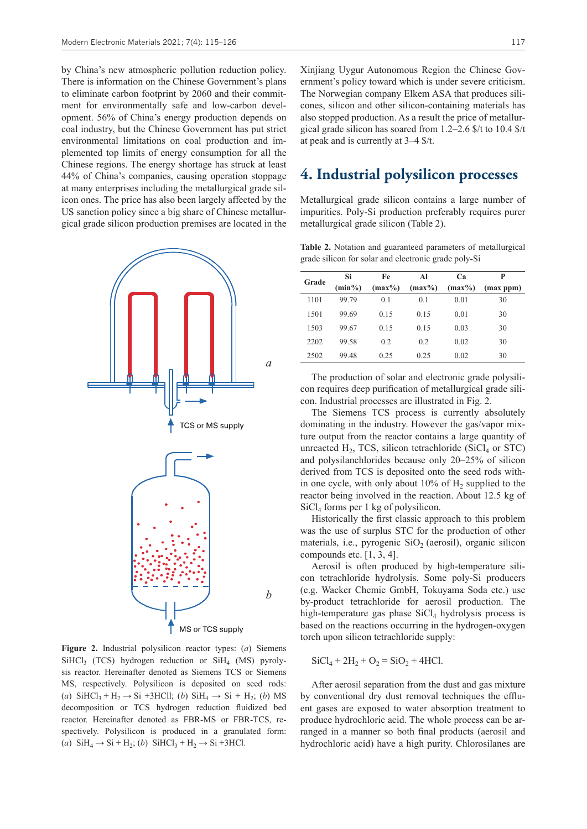by China's new atmospheric pollution reduction policy. There is information on the Chinese Government's plans to eliminate carbon footprint by 2060 and their commitment for environmentally safe and low-carbon development. 56% of China's energy production depends on coal industry, but the Chinese Government has put strict environmental limitations on coal production and implemented top limits of energy consumption for all the Chinese regions. The energy shortage has struck at least 44% of China's companies, causing operation stoppage at many enterprises including the metallurgical grade silicon ones. The price has also been largely affected by the US sanction policy since a big share of Chinese metallurgical grade silicon production premises are located in the



**Figure 2.** Industrial polysilicon reactor types: (*a*) Siemens  $SiHCI<sub>3</sub>$  (TCS) hydrogen reduction or  $SiH<sub>4</sub>$  (MS) pyrolysis reactor. Hereinafter denoted as Siemens TCS or Siemens MS, respectively. Polysilicon is deposited on seed rods: (*a*)  $\text{SiHCl}_3 + \text{H}_2 \rightarrow \text{Si} + 3\text{HCl}$ ; (*b*)  $\text{SiH}_4 \rightarrow \text{Si} + \text{H}_2$ ; (*b*) MS decomposition or TCS hydrogen reduction fluidized bed reactor. Hereinafter denoted as FBR-MS or FBR-TCS, respectively. Polysilicon is produced in a granulated form: (*a*)  $\text{SiH}_4 \rightarrow \text{Si} + \text{H}_2$ ; (*b*)  $\text{SiHCl}_3 + \text{H}_2 \rightarrow \text{Si} + 3\text{HCl}$ .

Xinjiang Uygur Autonomous Region the Chinese Government's policy toward which is under severe criticism. The Norwegian company Elkem ASA that produces silicones, silicon and other silicon-containing materials has also stopped production. As a result the price of metallurgical grade silicon has soared from 1.2–2.6 \$/t to 10.4 \$/t at peak and is currently at 3–4 \$/t.

#### **4. Industrial polysilicon processes**

Metallurgical grade silicon contains a large number of impurities. Poly-Si production preferably requires purer metallurgical grade silicon (Table 2).

**Table 2.** Notation and guaranteed parameters of metallurgical grade silicon for solar and electronic grade poly-Si

| Grade | Si        | Fe        | Al        | Ca        | P         |
|-------|-----------|-----------|-----------|-----------|-----------|
|       | $(min\%)$ | $(max\%)$ | $(max\%)$ | $(max\%)$ | (max ppm) |
| 1101  | 99.79     | 0.1       | 0.1       | 0.01      | 30        |
| 1501  | 99.69     | 0.15      | 0.15      | 0.01      | 30        |
| 1503  | 99.67     | 0.15      | 0.15      | 0.03      | 30        |
| 2202  | 99.58     | 0.2       | 0.2       | 0.02      | 30        |
| 2502  | 99.48     | 0.25      | 0.25      | 0.02      | 30        |

The production of solar and electronic grade polysilicon requires deep purification of metallurgical grade silicon. Industrial processes are illustrated in Fig. 2.

The Siemens TCS process is currently absolutely dominating in the industry. However the gas/vapor mixture output from the reactor contains a large quantity of unreacted  $H_2$ , TCS, silicon tetrachloride (SiCl<sub>4</sub> or STC) and polysilanchlorides because only 20–25% of silicon derived from TCS is deposited onto the seed rods within one cycle, with only about  $10\%$  of  $H_2$  supplied to the reactor being involved in the reaction. About 12.5 kg of  $SiCl<sub>4</sub>$  forms per 1 kg of polysilicon.

Historically the first classic approach to this problem was the use of surplus STC for the production of other materials, i.e., pyrogenic  $SiO<sub>2</sub>$  (aerosil), organic silicon compounds etc. [1, 3, 4].

Aerosil is often produced by high-temperature silicon tetrachloride hydrolysis. Some poly-Si producers (e.g. Wacker Chemie GmbH, Tokuyama Soda etc.) use by-product tetrachloride for aerosil production. The high-temperature gas phase  $SiCl<sub>4</sub>$  hydrolysis process is based on the reactions occurring in the hydrogen-oxygen torch upon silicon tetrachloride supply:

$$
SiCl_4 + 2H_2 + O_2 = SiO_2 + 4HCl.
$$

After aerosil separation from the dust and gas mixture by conventional dry dust removal techniques the effluent gases are exposed to water absorption treatment to produce hydrochloric acid. The whole process can be arranged in a manner so both final products (aerosil and hydrochloric acid) have a high purity. Chlorosilanes are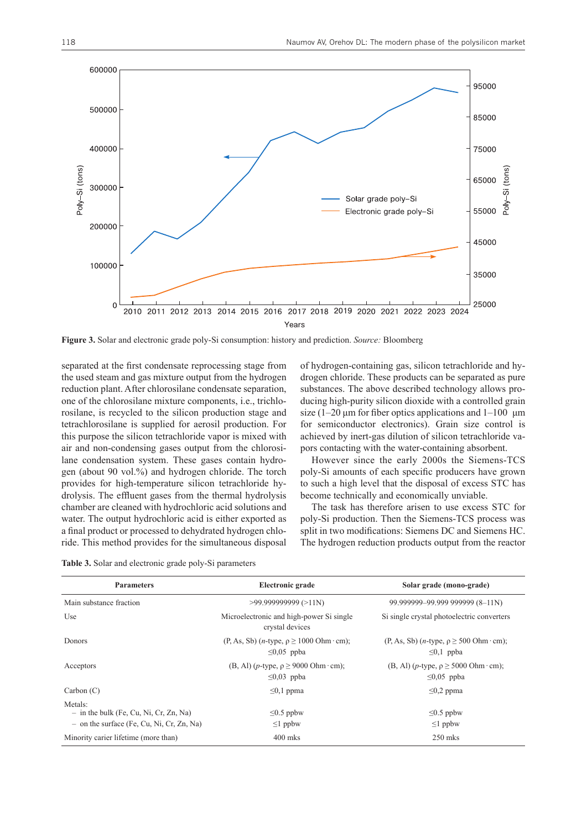

**Figure 3.** Solar and electronic grade poly-Si consumption: history and prediction. *Source:* Bloomberg

separated at the first condensate reprocessing stage from the used steam and gas mixture output from the hydrogen reduction plant. After chlorosilane condensate separation, one of the chlorosilane mixture components, i.e., trichlorosilane, is recycled to the silicon production stage and tetrachlorosilane is supplied for aerosil production. For this purpose the silicon tetrachloride vapor is mixed with air and non-condensing gases output from the chlorosilane condensation system. These gases contain hydrogen (about 90 vol.%) and hydrogen chloride. The torch provides for high-temperature silicon tetrachloride hydrolysis. The effluent gases from the thermal hydrolysis chamber are cleaned with hydrochloric acid solutions and water. The output hydrochloric acid is either exported as a final product or processed to dehydrated hydrogen chloride. This method provides for the simultaneous disposal of hydrogen-containing gas, silicon tetrachloride and hydrogen chloride. These products can be separated as pure substances. The above described technology allows producing high-purity silicon dioxide with a controlled grain size  $(1-20 \mu m)$  for fiber optics applications and  $1-100 \mu m$ for semiconductor electronics). Grain size control is achieved by inert-gas dilution of silicon tetrachloride vapors contacting with the water-containing absorbent.

However since the early 2000s the Siemens-TCS poly-Si amounts of each specific producers have grown to such a high level that the disposal of excess STC has become technically and economically unviable.

The task has therefore arisen to use excess STC for poly-Si production. Then the Siemens-TCS process was split in two modifications: Siemens DC and Siemens HC. The hydrogen reduction products output from the reactor

**Table 3.** Solar and electronic grade poly-Si parameters

| <b>Parameters</b>                                                                                  | Electronic grade                                                               | Solar grade (mono-grade)                                                     |  |
|----------------------------------------------------------------------------------------------------|--------------------------------------------------------------------------------|------------------------------------------------------------------------------|--|
| Main substance fraction                                                                            | $>99.999999999$ ( $>11$ N)                                                     | 99.999999-99.999 999999 (8-11N)                                              |  |
| Use                                                                                                | Microelectronic and high-power Si single<br>crystal devices                    | Si single crystal photoelectric converters                                   |  |
| Donors                                                                                             | $(P, As, Sb)$ ( <i>n</i> -type, $\rho \ge 1000$ Ohm · cm);<br>$\leq 0.05$ ppba | $(P, As, Sb)$ ( <i>n</i> -type, $\rho \ge 500$ Ohm · cm);<br>$\leq 0,1$ ppba |  |
| Acceptors                                                                                          | (B, Al) ( <i>p</i> -type, $\rho \ge 9000$ Ohm·cm);<br>$\leq 0.03$ ppba         | (B, Al) ( <i>p</i> -type, $\rho \ge 5000$ Ohm · cm);<br>$\leq 0.05$ ppba     |  |
| Carbon(C)                                                                                          | $\leq 0,1$ ppma                                                                | $\leq 0.2$ ppma                                                              |  |
| Metals:<br>$-$ in the bulk (Fe, Cu, Ni, Cr, Zn, Na)<br>$-$ on the surface (Fe, Cu, Ni, Cr, Zn, Na) | $\leq 0.5$ ppbw<br>$\leq$ l ppbw                                               | $\leq 0.5$ ppbw<br>$\leq$ l ppbw                                             |  |
| Minority carier lifetime (more than)                                                               | $400$ mks                                                                      | $250$ mks                                                                    |  |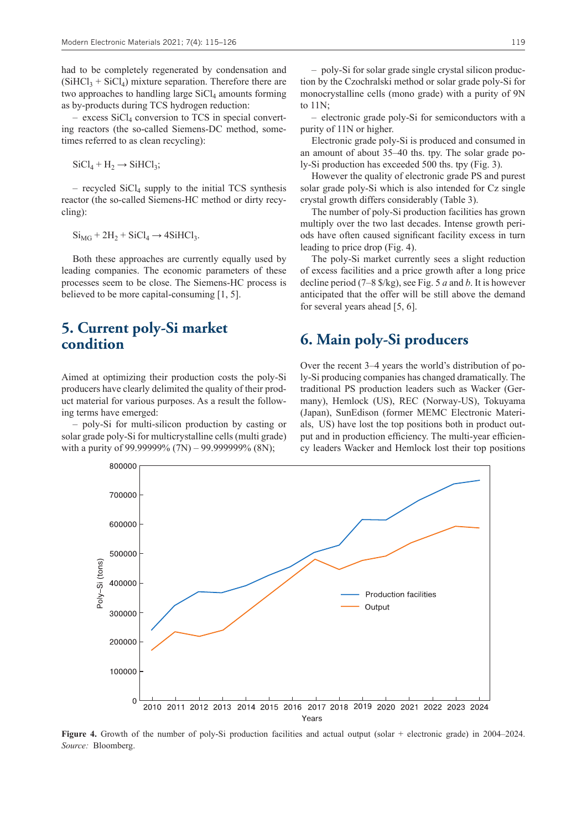had to be completely regenerated by condensation and  $(SiHCl<sub>3</sub> + SiCl<sub>4</sub>)$  mixture separation. Therefore there are two approaches to handling large  $SiCl<sub>4</sub>$  amounts forming as by-products during TCS hydrogen reduction:

 $-$  excess SiCl<sub>4</sub> conversion to TCS in special converting reactors (the so-called Siemens-DC method, sometimes referred to as clean recycling):

 $SiCl_4 + H_2 \rightarrow SiHCl_3;$ 

 $-$  recycled SiCl<sub>4</sub> supply to the initial TCS synthesis reactor (the so-called Siemens-HC method or dirty recycling):

 $Si<sub>MG</sub> + 2H<sub>2</sub> + SiCl<sub>4</sub> \rightarrow 4SiHCl<sub>3</sub>.$ 

Both these approaches are currently equally used by leading companies. The economic parameters of these processes seem to be close. The Siemens-HC process is believed to be more capital-consuming [1, 5].

#### **5. Current poly-Si market condition**

Aimed at optimizing their production costs the poly-Si producers have clearly delimited the quality of their product material for various purposes. As a result the following terms have emerged:

– poly-Si for multi-silicon production by casting or solar grade poly-Si for multicrystalline cells (multi grade) with a purity of 99.99999% (7N) – 99.999999% (8N):

– electronic grade poly-Si for semiconductors with a purity of 11N or higher.

Electronic grade poly-Si is produced and consumed in an amount of about 35–40 ths. tpy. The solar grade poly-Si production has exceeded 500 ths. tpy (Fig. 3).

However the quality of electronic grade PS and purest solar grade poly-Si which is also intended for Cz single crystal growth differs considerably (Table 3).

The number of poly-Si production facilities has grown multiply over the two last decades. Intense growth periods have often caused significant facility excess in turn leading to price drop (Fig. 4).

The poly-Si market currently sees a slight reduction of excess facilities and a price growth after a long price decline period (7–8 \$/kg), see Fig. 5 *a* and *b*. It is however anticipated that the offer will be still above the demand for several years ahead [5, 6].

#### **6. Main poly-Si producers**

Over the recent 3–4 years the world's distribution of poly-Si producing companies has changed dramatically. The traditional PS production leaders such as Wacker (Germany), Hemlock (US), REC (Norway-US), Tokuyama (Japan), SunEdison (former MEMC Electronic Materials, US) have lost the top positions both in product output and in production efficiency. The multi-year efficiency leaders Wacker and Hemlock lost their top positions



**Figure 4.** Growth of the number of poly-Si production facilities and actual output (solar + electronic grade) in 2004–2024. *Source:* Bloomberg.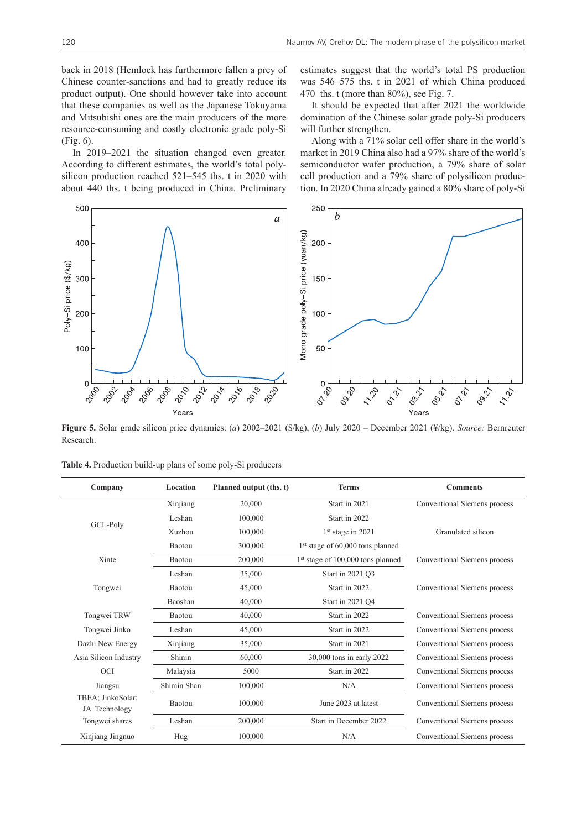back in 2018 (Hemlock has furthermore fallen a prey of Chinese counter-sanctions and had to greatly reduce its product output). One should however take into account that these companies as well as the Japanese Tokuyama and Mitsubishi ones are the main producers of the more resource-consuming and costly electronic grade poly-Si (Fig. 6).

In 2019–2021 the situation changed even greater. According to different estimates, the world's total polysilicon production reached 521–545 ths. t in 2020 with about 440 ths. t being produced in China. Preliminary estimates suggest that the world's total PS production was 546–575 ths. t in 2021 of which China produced 470 ths. t (more than 80%), see Fig. 7.

It should be expected that after 2021 the worldwide domination of the Chinese solar grade poly-Si producers will further strengthen.

Along with a 71% solar cell offer share in the world's market in 2019 China also had a 97% share of the world's semiconductor wafer production, a 79% share of solar cell production and a 79% share of polysilicon production. In 2020 China already gained a 80% share of poly-Si



**Figure 5.** Solar grade silicon price dynamics: (*a*) 2002–2021 (\$/kg), (*b*) July 2020 – December 2021 (¥/kg). *Source:* Bernreuter Research.

| Company                            | Location    | Planned output (ths. t) | <b>Terms</b>                                  | <b>Comments</b>              |
|------------------------------------|-------------|-------------------------|-----------------------------------------------|------------------------------|
|                                    | Xinjiang    | 20,000                  | Start in 2021                                 | Conventional Siemens process |
| GCL-Poly                           | Leshan      | 100,000                 | Start in 2022                                 |                              |
|                                    | Xuzhou      | 100,000                 | $1st$ stage in 2021                           | Granulated silicon           |
|                                    | Baotou      | 300,000                 | 1st stage of 60,000 tons planned              |                              |
| Xinte                              | Baotou      | 200,000                 | 1 <sup>st</sup> stage of 100,000 tons planned | Conventional Siemens process |
|                                    | Leshan      | 35,000                  | Start in 2021 Q3                              |                              |
| Tongwei                            | Baotou      | 45,000                  | Start in 2022                                 | Conventional Siemens process |
|                                    | Baoshan     | 40,000                  | Start in 2021 Q4                              |                              |
| Tongwei TRW                        | Baotou      | 40,000                  | Start in 2022                                 | Conventional Siemens process |
| Tongwei Jinko                      | Leshan      | 45,000                  | Start in 2022                                 | Conventional Siemens process |
| Dazhi New Energy                   | Xinjiang    | 35,000                  | Start in 2021                                 | Conventional Siemens process |
| Asia Silicon Industry              | Shinin      | 60,000                  | 30,000 tons in early 2022                     | Conventional Siemens process |
| <b>OCI</b>                         | Malaysia    | 5000                    | Start in 2022                                 | Conventional Siemens process |
| Jiangsu                            | Shimin Shan | 100,000                 | N/A                                           | Conventional Siemens process |
| TBEA; JinkoSolar;<br>JA Technology | Baotou      | 100,000                 | June 2023 at latest                           | Conventional Siemens process |
| Tongwei shares                     | Leshan      | 200,000                 | Start in December 2022                        | Conventional Siemens process |
| Xinjiang Jingnuo                   | Hug         | 100,000                 | N/A                                           | Conventional Siemens process |

**Table 4.** Production build-up plans of some poly-Si producers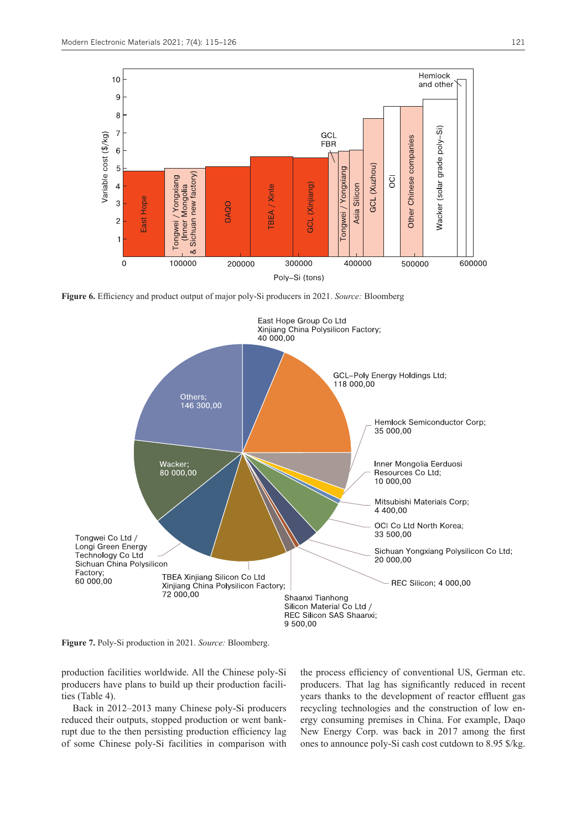

**Figure 6.** Efficiency and product output of major poly-Si producers in 2021. *Source:* Bloomberg



**Figure 7.** Poly-Si production in 2021. *Source:* Bloomberg.

production facilities worldwide. All the Chinese poly-Si producers have plans to build up their production facilities (Table 4).

Back in 2012–2013 many Chinese poly-Si producers reduced their outputs, stopped production or went bankrupt due to the then persisting production efficiency lag of some Chinese poly-Si facilities in comparison with

the process efficiency of conventional US, German etc. producers. That lag has significantly reduced in recent years thanks to the development of reactor effluent gas recycling technologies and the construction of low energy consuming premises in China. For example, Daqo New Energy Corp. was back in 2017 among the first ones to announce poly-Si cash cost cutdown to 8.95 \$/kg.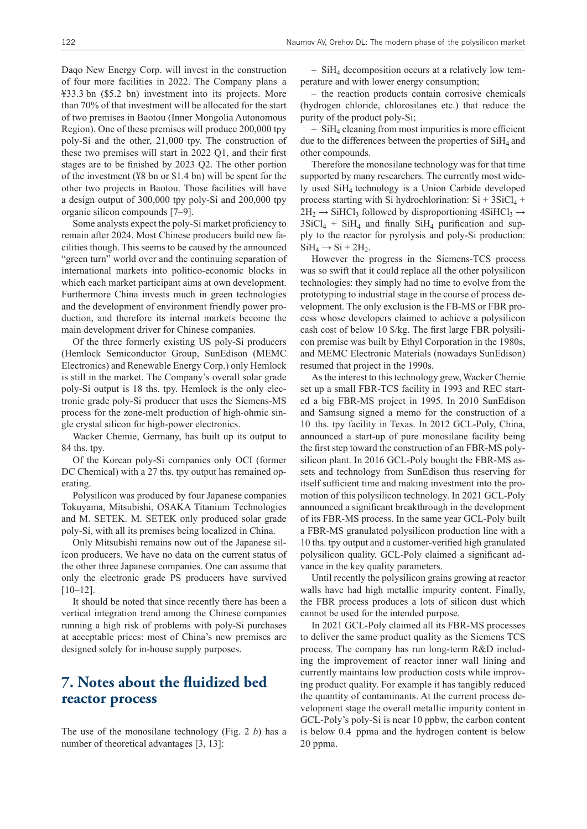Daqo New Energy Corp. will invest in the construction of four more facilities in 2022. The Company plans a ¥33.3 bn (\$5.2 bn) investment into its projects. More than 70% of that investment will be allocated for the start of two premises in Baotou (Inner Mongolia Autonomous Region). One of these premises will produce 200,000 tpy poly-Si and the other, 21,000 tpy. The construction of these two premises will start in 2022 Q1, and their first stages are to be finished by 2023 Q2. The other portion of the investment (¥8 bn or \$1.4 bn) will be spent for the other two projects in Baotou. Those facilities will have a design output of 300,000 tpy poly-Si and 200,000 tpy organic silicon compounds [7–9].

Some analysts expect the poly-Si market proficiency to remain after 2024. Most Chinese producers build new facilities though. This seems to be caused by the announced "green turn" world over and the continuing separation of international markets into politico-economic blocks in which each market participant aims at own development. Furthermore China invests much in green technologies and the development of environment friendly power production, and therefore its internal markets become the main development driver for Chinese companies.

Of the three formerly existing US poly-Si producers (Hemlock Semiconductor Group, SunEdison (MEMC Electronics) and Renewable Energy Corp.) only Hemlock is still in the market. The Company's overall solar grade poly-Si output is 18 ths. tpy. Hemlock is the only electronic grade poly-Si producer that uses the Siemens-MS process for the zone-melt production of high-ohmic single crystal silicon for high-power electronics.

Wacker Chemie, Germany, has built up its output to 84 ths. tpy.

Of the Korean poly-Si companies only OCI (former DC Chemical) with a 27 ths. tpy output has remained operating.

Polysilicon was produced by four Japanese companies Tokuyama, Mitsubishi, OSAKA Titanium Тechnologies and M. SETEK. M. SETEK only produced solar grade poly-Si, with all its premises being localized in China.

Only Mitsubishi remains now out of the Japanese silicon producers. We have no data on the current status of the other three Japanese companies. One can assume that only the electronic grade PS producers have survived  $[10-12]$ .

It should be noted that since recently there has been a vertical integration trend among the Chinese companies running a high risk of problems with poly-Si purchases at acceptable prices: most of China's new premises are designed solely for in-house supply purposes.

#### **7. Notes about the fluidized bed reactor process**

The use of the monosilane technology (Fig. 2 *b*) has a number of theoretical advantages [3, 13]:

– SiH4 decomposition occurs at a relatively low temperature and with lower energy consumption;

– the reaction products contain corrosive chemicals (hydrogen chloride, chlorosilanes etc.) that reduce the purity of the product poly-Si;

 $-$  SiH<sub>4</sub> cleaning from most impurities is more efficient due to the differences between the properties of  $SiH<sub>4</sub>$  and other compounds.

Therefore the monosilane technology was for that time supported by many researchers. The currently most widely used SiH4 technology is a Union Carbide developed process starting with Si hydrochlorination:  $Si + 3SiCl<sub>4</sub> +$  $2H_2 \rightarrow$  SiHCl<sub>3</sub> followed by disproportioning  $4SiHCl_3 \rightarrow$  $3SiCl_4$  + SiH<sub>4</sub> and finally SiH<sub>4</sub> purification and supply to the reactor for pyrolysis and poly-Si production:  $SiH_4 \rightarrow Si + 2H_2$ .

However the progress in the Siemens-TCS process was so swift that it could replace all the other polysilicon technologies: they simply had no time to evolve from the prototyping to industrial stage in the course of process development. The only exclusion is the FB-MS or FBR process whose developers claimed to achieve a polysilicon cash cost of below 10 \$/kg. The first large FBR polysilicon premise was built by Ethyl Corporation in the 1980s, and MEMC Electronic Materials (nowadays SunEdison) resumed that project in the 1990s.

As the interest to this technology grew, Wacker Chemie set up a small FBR-TCS facility in 1993 and REC started a big FBR-MS project in 1995. In 2010 SunEdison and Samsung signed a memo for the construction of a 10 ths. tpy facility in Texas. In 2012 GCL-Poly, China, announced a start-up of pure monosilane facility being the first step toward the construction of an FBR-MS polysilicon plant. In 2016 GCL-Poly bought the FBR-MS assets and technology from SunEdison thus reserving for itself sufficient time and making investment into the promotion of this polysilicon technology. In 2021 GCL-Poly announced a significant breakthrough in the development of its FBR-MS process. In the same year GCL-Poly built a FBR-MS granulated polysilicon production line with a 10 ths. tpy output and a customer-verified high granulated polysilicon quality. GCL-Poly claimed a significant advance in the key quality parameters.

Until recently the polysilicon grains growing at reactor walls have had high metallic impurity content. Finally, the FBR process produces a lots of silicon dust which cannot be used for the intended purpose.

In 2021 GCL-Poly claimed all its FBR-MS processes to deliver the same product quality as the Siemens TCS process. The company has run long-term R&D including the improvement of reactor inner wall lining and currently maintains low production costs while improving product quality. For example it has tangibly reduced the quantity of contaminants. At the current process development stage the overall metallic impurity content in GCL-Poly's poly-Si is near 10 ppbw, the carbon content is below 0.4 ppma and the hydrogen content is below 20 ppma.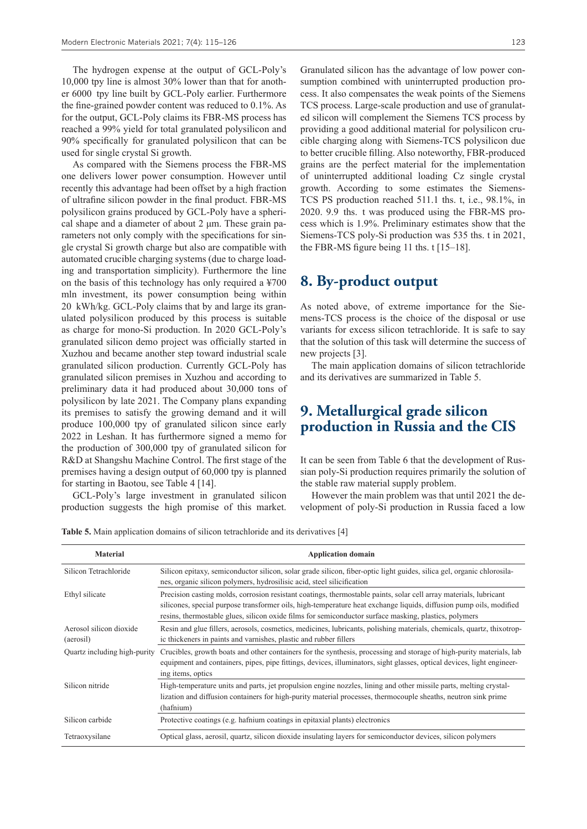The hydrogen expense at the output of GCL-Poly's 10,000 tpy line is almost 30% lower than that for another 6000 tpy line built by GCL-Poly earlier. Furthermore the fine-grained powder content was reduced to 0.1%. As for the output, GCL-Poly claims its FBR-MS process has reached a 99% yield for total granulated polysilicon and 90% specifically for granulated polysilicon that can be used for single crystal Si growth.

As compared with the Siemens process the FBR-MS one delivers lower power consumption. However until recently this advantage had been offset by a high fraction of ultrafine silicon powder in the final product. FBR-MS polysilicon grains produced by GCL-Poly have a spherical shape and a diameter of about 2 μm. These grain parameters not only comply with the specifications for single crystal Si growth charge but also are compatible with automated crucible charging systems (due to charge loading and transportation simplicity). Furthermore the line on the basis of this technology has only required a ¥700 mln investment, its power consumption being within 20 kWh/kg. GCL-Poly claims that by and large its granulated polysilicon produced by this process is suitable as charge for mono-Si production. In 2020 GCL-Poly's granulated silicon demo project was officially started in Xuzhou and became another step toward industrial scale granulated silicon production. Currently GCL-Poly has granulated silicon premises in Xuzhou and according to preliminary data it had produced about 30,000 tons of polysilicon by late 2021. The Company plans expanding its premises to satisfy the growing demand and it will produce 100,000 tpy of granulated silicon since early 2022 in Leshan. It has furthermore signed a memo for the production of 300,000 tpy of granulated silicon for R&D at Shangshu Machine Control. The first stage of the premises having a design output of 60,000 tpy is planned for starting in Baotou, see Table 4 [14].

GCL-Poly's large investment in granulated silicon production suggests the high promise of this market.

Granulated silicon has the advantage of low power consumption combined with uninterrupted production process. It also compensates the weak points of the Siemens TCS process. Large-scale production and use of granulated silicon will complement the Siemens TCS process by providing a good additional material for polysilicon crucible charging along with Siemens-TCS polysilicon due to better crucible filling. Also noteworthy, FBR-produced grains are the perfect material for the implementation of uninterrupted additional loading Cz single crystal growth. According to some estimates the Siemens-TCS PS production reached 511.1 ths. t, i.e., 98.1%, in

2020. 9.9 ths. t was produced using the FBR-MS process which is 1.9%. Preliminary estimates show that the Siemens-TCS poly-Si production was 535 ths. t in 2021, the FBR-MS figure being 11 ths. t [15–18].

#### **8. By-product output**

As noted above, of extreme importance for the Siemens-TCS process is the choice of the disposal or use variants for excess silicon tetrachloride. It is safe to say that the solution of this task will determine the success of new projects [3].

The main application domains of silicon tetrachloride and its derivatives are summarized in Table 5.

#### **9. Metallurgical grade silicon production in Russia and the CIS**

It can be seen from Table 6 that the development of Russian poly-Si production requires primarily the solution of the stable raw material supply problem.

However the main problem was that until 2021 the development of poly-Si production in Russia faced a low

**Table 5.** Main application domains of silicon tetrachloride and its derivatives [4]

| <b>Material</b>                      | <b>Application domain</b>                                                                                                                                                                                                                                                                                                                        |
|--------------------------------------|--------------------------------------------------------------------------------------------------------------------------------------------------------------------------------------------------------------------------------------------------------------------------------------------------------------------------------------------------|
| Silicon Tetrachloride                | Silicon epitaxy, semiconductor silicon, solar grade silicon, fiber-optic light guides, silica gel, organic chlorosila-<br>nes, organic silicon polymers, hydrosilisic acid, steel silicification                                                                                                                                                 |
| Ethyl silicate                       | Precision casting molds, corrosion resistant coatings, thermostable paints, solar cell array materials, lubricant<br>silicones, special purpose transformer oils, high-temperature heat exchange liquids, diffusion pump oils, modified<br>resins, thermostable glues, silicon oxide films for semiconductor surface masking, plastics, polymers |
| Aerosol silicon dioxide<br>(aerosil) | Resin and glue fillers, aerosols, cosmetics, medicines, lubricants, polishing materials, chemicals, quartz, thixotrop-<br>ic thickeners in paints and varnishes, plastic and rubber fillers                                                                                                                                                      |
| Quartz including high-purity         | Crucibles, growth boats and other containers for the synthesis, processing and storage of high-purity materials, lab<br>equipment and containers, pipes, pipe fittings, devices, illuminators, sight glasses, optical devices, light engineer-<br>ing items, optics                                                                              |
| Silicon nitride                      | High-temperature units and parts, jet propulsion engine nozzles, lining and other missile parts, melting crystal-<br>lization and diffusion containers for high-purity material processes, thermocouple sheaths, neutron sink prime<br>(hafnium)                                                                                                 |
| Silicon carbide                      | Protective coatings (e.g. hafnium coatings in epitaxial plants) electronics                                                                                                                                                                                                                                                                      |
| Tetraoxysilane                       | Optical glass, aerosil, quartz, silicon dioxide insulating layers for semiconductor devices, silicon polymers                                                                                                                                                                                                                                    |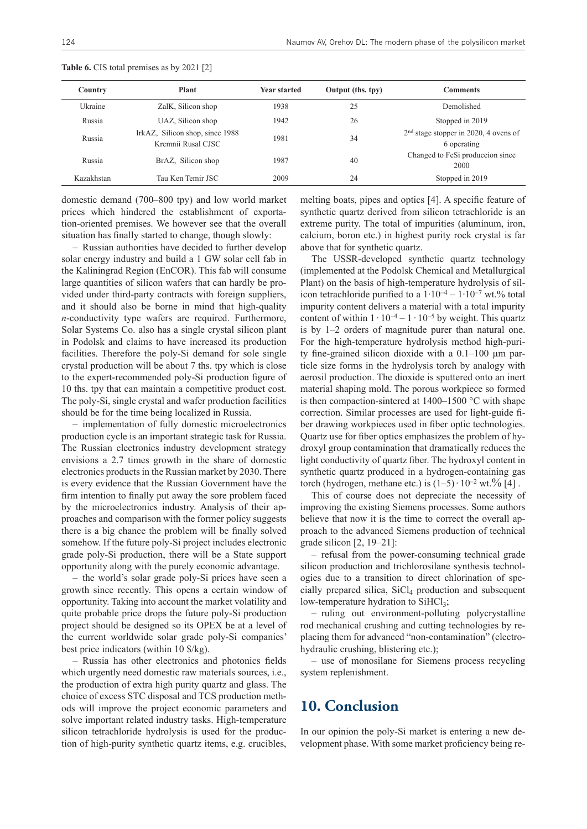| Country    | Plant                                                 | <b>Year started</b> | Output (ths. tpy) | <b>Comments</b>                                        |
|------------|-------------------------------------------------------|---------------------|-------------------|--------------------------------------------------------|
| Ukraine    | ZalK, Silicon shop                                    | 1938                | 25                | Demolished                                             |
| Russia     | UAZ, Silicon shop                                     | 1942                | 26                | Stopped in 2019                                        |
| Russia     | IrkAZ, Silicon shop, since 1988<br>Kremnii Rusal CJSC | 1981                | 34                | $2nd$ stage stopper in 2020, 4 ovens of<br>6 operating |
| Russia     | BrAZ, Silicon shop                                    | 1987                | 40                | Changed to FeSi produceion since<br>2000               |
| Kazakhstan | Tau Ken Temir JSC                                     | 2009                | 24                | Stopped in 2019                                        |

**Table 6.** CIS total premises as by 2021 [2]

domestic demand (700–800 tpy) and low world market prices which hindered the establishment of exportation-oriented premises. We however see that the overall situation has finally started to change, though slowly:

– Russian authorities have decided to further develop solar energy industry and build a 1 GW solar cell fab in the Kaliningrad Region (EnCOR). This fab will consume large quantities of silicon wafers that can hardly be provided under third-party contracts with foreign suppliers, and it should also be borne in mind that high-quality *n*-conductivity type wafers are required. Furthermore, Solar Systems Co. also has a single crystal silicon plant in Podolsk and claims to have increased its production facilities. Therefore the poly-Si demand for sole single crystal production will be about 7 ths. tpy which is close to the expert-recommended poly-Si production figure of 10 ths. tpy that can maintain a competitive product cost. The poly-Si, single crystal and wafer production facilities should be for the time being localized in Russia.

– implementation of fully domestic microelectronics production cycle is an important strategic task for Russia. The Russian electronics industry development strategy envisions a 2.7 times growth in the share of domestic electronics products in the Russian market by 2030. There is every evidence that the Russian Government have the firm intention to finally put away the sore problem faced by the microelectronics industry. Analysis of their approaches and comparison with the former policy suggests there is a big chance the problem will be finally solved somehow. If the future poly-Si project includes electronic grade poly-Si production, there will be a State support opportunity along with the purely economic advantage.

– the world's solar grade poly-Si prices have seen a growth since recently. This opens a certain window of opportunity. Taking into account the market volatility and quite probable price drops the future poly-Si production project should be designed so its OPEX be at a level of the current worldwide solar grade poly-Si companies' best price indicators (within 10 \$/kg).

– Russia has other electronics and photonics fields which urgently need domestic raw materials sources, i.e., the production of extra high purity quartz and glass. The choice of excess STC disposal and TCS production methods will improve the project economic parameters and solve important related industry tasks. High-temperature silicon tetrachloride hydrolysis is used for the production of high-purity synthetic quartz items, e.g. crucibles, melting boats, pipes and optics [4]. A specific feature of synthetic quartz derived from silicon tetrachloride is an extreme purity. The total of impurities (aluminum, iron, calcium, boron etc.) in highest purity rock crystal is far above that for synthetic quartz.

The USSR-developed synthetic quartz technology (implemented at the Podolsk Chemical and Metallurgical Plant) on the basis of high-temperature hydrolysis of silicon tetrachloride purified to a  $1 \cdot 10^{-4} - 1 \cdot 10^{-7}$  wt.% total impurity content delivers a material with a total impurity content of within  $1 \cdot 10^{-4} - 1 \cdot 10^{-5}$  by weight. This quartz is by 1–2 orders of magnitude purer than natural one. For the high-temperature hydrolysis method high-purity fine-grained silicon dioxide with a 0.1–100 μm particle size forms in the hydrolysis torch by analogy with aerosil production. The dioxide is sputtered onto an inert material shaping mold. The porous workpiece so formed is then compaction-sintered at 1400–1500 °C with shape correction. Similar processes are used for light-guide fiber drawing workpieces used in fiber optic technologies. Quartz use for fiber optics emphasizes the problem of hydroxyl group contamination that dramatically reduces the light conductivity of quartz fiber. The hydroxyl content in synthetic quartz produced in a hydrogen-containing gas torch (hydrogen, methane etc.) is  $(1–5) \cdot 10^{-2}$  wt. % [4].

This of course does not depreciate the necessity of improving the existing Siemens processes. Some authors believe that now it is the time to correct the overall approach to the advanced Siemens production of technical grade silicon [2, 19–21]:

– refusal from the power-consuming technical grade silicon production and trichlorosilane synthesis technologies due to a transition to direct chlorination of specially prepared silica,  $SiCl<sub>4</sub>$  production and subsequent low-temperature hydration to  $SiHCl<sub>3</sub>$ ;

– ruling out environment-polluting polycrystalline rod mechanical crushing and cutting technologies by replacing them for advanced "non-contamination" (electrohydraulic crushing, blistering etc.);

– use of monosilane for Siemens process recycling system replenishment.

#### **10. Conclusion**

In our opinion the poly-Si market is entering a new development phase. With some market proficiency being re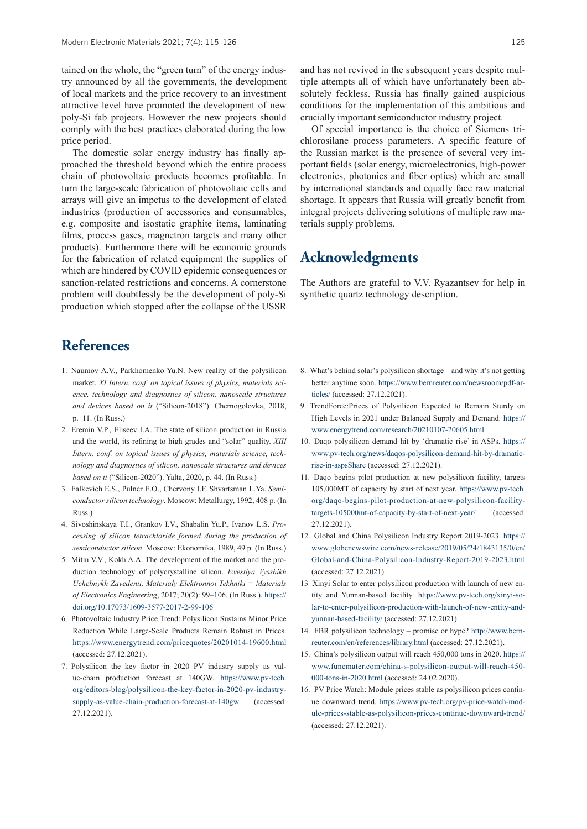tained on the whole, the "green turn" of the energy industry announced by all the governments, the development of local markets and the price recovery to an investment attractive level have promoted the development of new poly-Si fab projects. However the new projects should comply with the best practices elaborated during the low price period.

The domestic solar energy industry has finally approached the threshold beyond which the entire process chain of photovoltaic products becomes profitable. In turn the large-scale fabrication of photovoltaic cells and arrays will give an impetus to the development of elated industries (production of accessories and consumables, e.g. composite and isostatic graphite items, laminating films, process gases, magnetron targets and many other products). Furthermore there will be economic grounds for the fabrication of related equipment the supplies of which are hindered by COVID epidemic consequences or sanction-related restrictions and concerns. A cornerstone problem will doubtlessly be the development of poly-Si production which stopped after the collapse of the USSR

#### and has not revived in the subsequent years despite multiple attempts all of which have unfortunately been absolutely feckless. Russia has finally gained auspicious conditions for the implementation of this ambitious and crucially important semiconductor industry project.

Of special importance is the choice of Siemens trichlorosilane process parameters. A specific feature of the Russian market is the presence of several very important fields (solar energy, microelectronics, high-power electronics, photonics and fiber optics) which are small by international standards and equally face raw material shortage. It appears that Russia will greatly benefit from integral projects delivering solutions of multiple raw materials supply problems.

# **Acknowledgments**

The Authors are grateful to V.V. Ryazantsev for help in synthetic quartz technology description.

# **References**

- 1. Naumov A.V., Parkhomenko Yu.N. New reality of the polysilicon market. *XI Intern. conf. on topical issues of physics, materials science, technology and diagnostics of silicon, nanoscale structures and devices based on it* ("Silicon-2018"). Chernogolovka, 2018, p. 11. (In Russ.)
- 2. Eremin V.P., Eliseev I.A. The state of silicon production in Russia and the world, its refining to high grades and "solar" quality. *XIII Intern. conf. on topical issues of physics, materials science, technology and diagnostics of silicon, nanoscale structures and devices based on it* ("Silicon-2020"). Yalta, 2020, p. 44. (In Russ.)
- 3. Falkevich E.S., Pulner E.O., Chervony I.F. Shvartsman L.Ya. *Semiconductor silicon technology*. Moscow: Metallurgy, 1992, 408 p. (In Russ.)
- 4. Sivoshinskaya T.I., Grankov I.V., Shabalin Yu.P., Ivanov L.S. *Processing of silicon tetrachloride formed during the production of semiconductor silicon*. Moscow: Ekonomika, 1989, 49 p. (In Russ.)
- 5. Mitin V.V., Kokh A.A. The development of the market and the production technology of polycrystalline silicon. *Izvestiya Vysshikh Uchebnykh Zavedenii. Materialy Elektronnoi Tekhniki = Materials of Electronics Engineering*, 2017; 20(2): 99–106. (In Russ.). https:// doi.org/10.17073/1609-3577-2017-2-99-106
- 6. Photovoltaic Industry Price Trend: Polysilicon Sustains Minor Price Reduction While Large-Scale Products Remain Robust in Prices. https://www.energytrend.com/pricequotes/20201014-19600.html (accessed: 27.12.2021).
- 7. Polysilicon the key factor in 2020 PV industry supply as value-chain production forecast at 140GW. https://www.pv-tech. org/editors-blog/polysilicon-the-key-factor-in-2020-pv-industrysupply-as-value-chain-production-forecast-at-140gw (accessed: 27.12.2021).
- 8. What's behind solar's polysilicon shortage and why it's not getting better anytime soon. https://www.bernreuter.com/newsroom/pdf-articles/ (accessed: 27.12.2021).
- 9. TrendForce:Prices of Polysilicon Expected to Remain Sturdy on High Levels in 2021 under Balanced Supply and Demand. https:// www.energytrend.com/research/20210107-20605.html
- 10. Daqo polysilicon demand hit by 'dramatic rise' in ASPs. https:// www.pv-tech.org/news/daqos-polysilicon-demand-hit-by-dramaticrise-in-aspsShare (accessed: 27.12.2021).
- 11. Daqo begins pilot production at new polysilicon facility, targets 105,000MT of capacity by start of next year. https://www.pv-tech. org/daqo-begins-pilot-production-at-new-polysilicon-facilitytargets-105000mt-of-capacity-by-start-of-next-year/ (accessed: 27.12.2021).
- 12. Global and China Polysilicon Industry Report 2019-2023. https:// www.globenewswire.com/news-release/2019/05/24/1843135/0/en/ Global-and-China-Polysilicon-Industry-Report-2019-2023.html (accessed: 27.12.2021).
- 13 Xinyi Solar to enter polysilicon production with launch of new entity and Yunnan-based facility. https://www.pv-tech.org/xinyi-solar-to-enter-polysilicon-production-with-launch-of-new-entity-andyunnan-based-facility/ (accessed: 27.12.2021).
- 14. FBR polysilicon technology promise or hype? http://www.bernreuter.com/en/references/library.html (accessed: 27.12.2021).
- 15. China's polysilicon output will reach 450,000 tons in 2020. https:// www.funcmater.com/china-s-polysilicon-output-will-reach-450- 000-tons-in-2020.html (accessed: 24.02.2020).
- 16. PV Price Watch: Module prices stable as polysilicon prices continue downward trend. https://www.pv-tech.org/pv-price-watch-module-prices-stable-as-polysilicon-prices-continue-downward-trend/ (accessed: 27.12.2021).